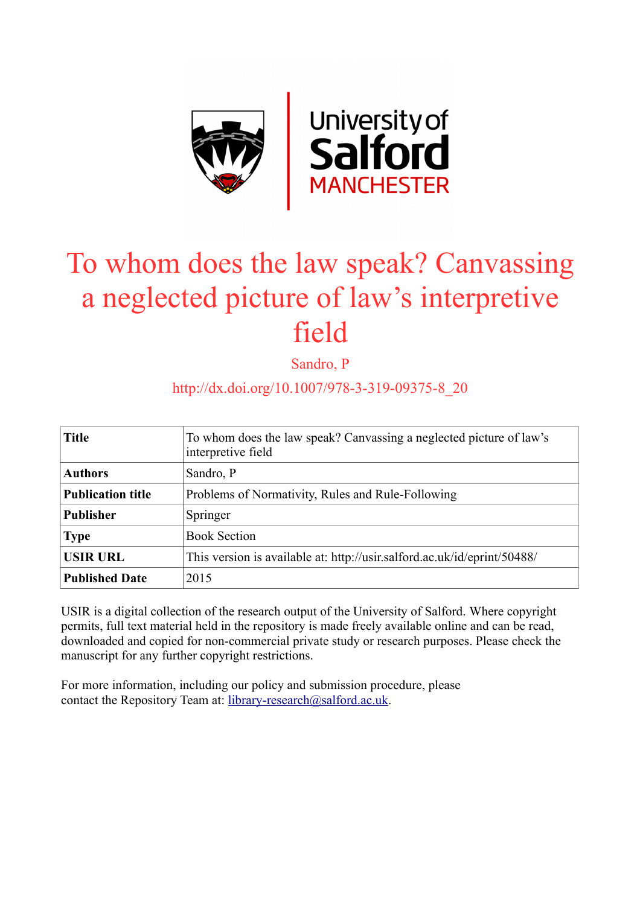

# To whom does the law speak? Canvassing a neglected picture of law's interpretive field

Sandro, P

# http://dx.doi.org/10.1007/978-3-319-09375-8\_20

| <b>Title</b>             | To whom does the law speak? Canvassing a neglected picture of law's<br>interpretive field |
|--------------------------|-------------------------------------------------------------------------------------------|
| <b>Authors</b>           | Sandro, P                                                                                 |
| <b>Publication title</b> | Problems of Normativity, Rules and Rule-Following                                         |
| <b>Publisher</b>         | Springer                                                                                  |
| <b>Type</b>              | <b>Book Section</b>                                                                       |
| <b>USIR URL</b>          | This version is available at: http://usir.salford.ac.uk/id/eprint/50488/                  |
| <b>Published Date</b>    | 2015                                                                                      |

USIR is a digital collection of the research output of the University of Salford. Where copyright permits, full text material held in the repository is made freely available online and can be read, downloaded and copied for non-commercial private study or research purposes. Please check the manuscript for any further copyright restrictions.

For more information, including our policy and submission procedure, please contact the Repository Team at: [library-research@salford.ac.uk.](mailto:library-research@salford.ac.uk)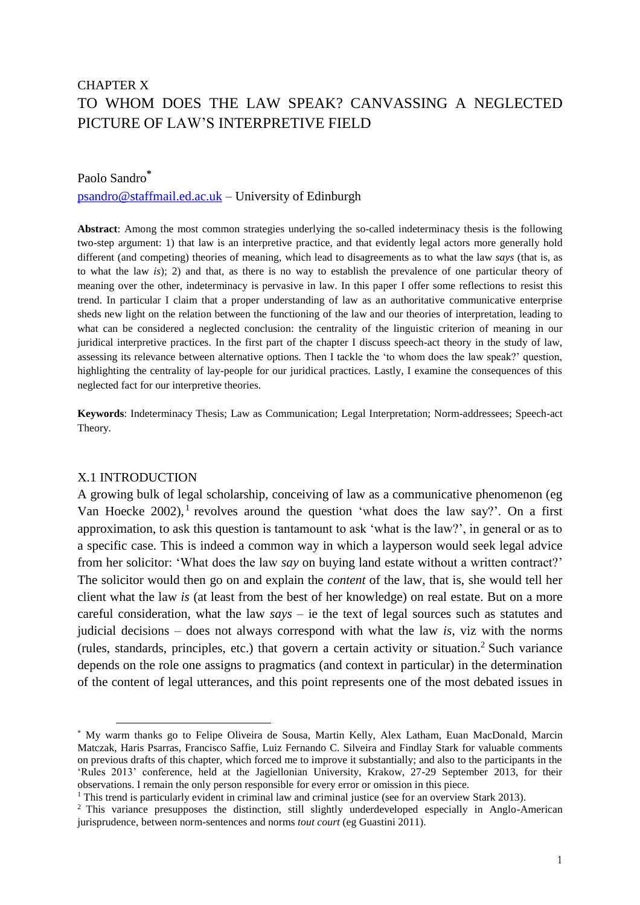# CHAPTER X TO WHOM DOES THE LAW SPEAK? CANVASSING A NEGLECTED PICTURE OF LAW'S INTERPRETIVE FIELD

## Paolo Sandro**\***

[psandro@staffmail.ed.ac.uk](mailto:psandro@staffmail.ed.ac.uk) – University of Edinburgh

**Abstract**: Among the most common strategies underlying the so-called indeterminacy thesis is the following two-step argument: 1) that law is an interpretive practice, and that evidently legal actors more generally hold different (and competing) theories of meaning, which lead to disagreements as to what the law *says* (that is, as to what the law *is*); 2) and that, as there is no way to establish the prevalence of one particular theory of meaning over the other, indeterminacy is pervasive in law. In this paper I offer some reflections to resist this trend. In particular I claim that a proper understanding of law as an authoritative communicative enterprise sheds new light on the relation between the functioning of the law and our theories of interpretation, leading to what can be considered a neglected conclusion: the centrality of the linguistic criterion of meaning in our juridical interpretive practices. In the first part of the chapter I discuss speech-act theory in the study of law, assessing its relevance between alternative options. Then I tackle the 'to whom does the law speak?' question, highlighting the centrality of lay-people for our juridical practices. Lastly, I examine the consequences of this neglected fact for our interpretive theories.

**Keywords**: Indeterminacy Thesis; Law as Communication; Legal Interpretation; Norm-addressees; Speech-act Theory.

#### X.1 INTRODUCTION

1

A growing bulk of legal scholarship, conceiving of law as a communicative phenomenon (eg Van Hoecke 2002),<sup>1</sup> revolves around the question 'what does the law say?'. On a first approximation, to ask this question is tantamount to ask 'what is the law?', in general or as to a specific case. This is indeed a common way in which a layperson would seek legal advice from her solicitor: 'What does the law *say* on buying land estate without a written contract?' The solicitor would then go on and explain the *content* of the law, that is, she would tell her client what the law *is* (at least from the best of her knowledge) on real estate. But on a more careful consideration, what the law *says* – ie the text of legal sources such as statutes and judicial decisions – does not always correspond with what the law *is*, viz with the norms (rules, standards, principles, etc.) that govern a certain activity or situation.<sup>2</sup> Such variance depends on the role one assigns to pragmatics (and context in particular) in the determination of the content of legal utterances, and this point represents one of the most debated issues in

<sup>\*</sup> My warm thanks go to Felipe Oliveira de Sousa, Martin Kelly, Alex Latham, Euan MacDonald, Marcin Matczak, Haris Psarras, Francisco Saffie, Luiz Fernando C. Silveira and Findlay Stark for valuable comments on previous drafts of this chapter, which forced me to improve it substantially; and also to the participants in the 'Rules 2013' conference, held at the Jagiellonian University, Krakow, 27-29 September 2013, for their observations. I remain the only person responsible for every error or omission in this piece.

<sup>&</sup>lt;sup>1</sup> This trend is particularly evident in criminal law and criminal justice (see for an overview Stark 2013).

<sup>2</sup> This variance presupposes the distinction, still slightly underdeveloped especially in Anglo-American jurisprudence, between norm-sentences and norms *tout court* (eg Guastini 2011).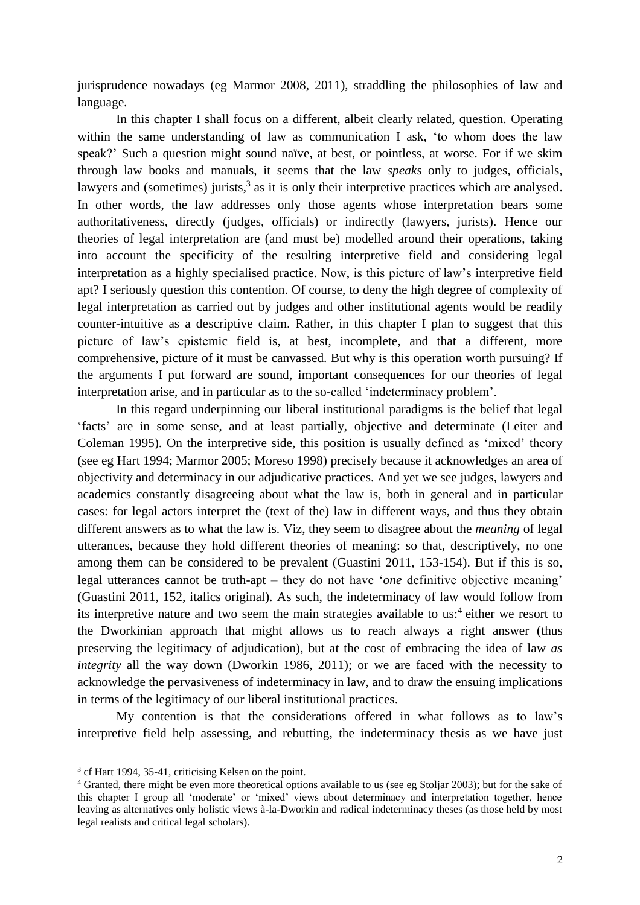jurisprudence nowadays (eg Marmor 2008, 2011), straddling the philosophies of law and language.

In this chapter I shall focus on a different, albeit clearly related, question. Operating within the same understanding of law as communication I ask, 'to whom does the law speak?' Such a question might sound naïve, at best, or pointless, at worse. For if we skim through law books and manuals, it seems that the law *speaks* only to judges, officials, lawyers and (sometimes) jurists,<sup>3</sup> as it is only their interpretive practices which are analysed. In other words, the law addresses only those agents whose interpretation bears some authoritativeness, directly (judges, officials) or indirectly (lawyers, jurists). Hence our theories of legal interpretation are (and must be) modelled around their operations, taking into account the specificity of the resulting interpretive field and considering legal interpretation as a highly specialised practice. Now, is this picture of law's interpretive field apt? I seriously question this contention. Of course, to deny the high degree of complexity of legal interpretation as carried out by judges and other institutional agents would be readily counter-intuitive as a descriptive claim. Rather, in this chapter I plan to suggest that this picture of law's epistemic field is, at best, incomplete, and that a different, more comprehensive, picture of it must be canvassed. But why is this operation worth pursuing? If the arguments I put forward are sound, important consequences for our theories of legal interpretation arise, and in particular as to the so-called 'indeterminacy problem'.

In this regard underpinning our liberal institutional paradigms is the belief that legal 'facts' are in some sense, and at least partially, objective and determinate (Leiter and Coleman 1995). On the interpretive side, this position is usually defined as 'mixed' theory (see eg Hart 1994; Marmor 2005; Moreso 1998) precisely because it acknowledges an area of objectivity and determinacy in our adjudicative practices. And yet we see judges, lawyers and academics constantly disagreeing about what the law is, both in general and in particular cases: for legal actors interpret the (text of the) law in different ways, and thus they obtain different answers as to what the law is. Viz, they seem to disagree about the *meaning* of legal utterances, because they hold different theories of meaning: so that, descriptively, no one among them can be considered to be prevalent (Guastini 2011, 153-154). But if this is so, legal utterances cannot be truth-apt – they do not have '*one* definitive objective meaning' (Guastini 2011, 152, italics original). As such, the indeterminacy of law would follow from its interpretive nature and two seem the main strategies available to us: 4 either we resort to the Dworkinian approach that might allows us to reach always a right answer (thus preserving the legitimacy of adjudication), but at the cost of embracing the idea of law *as integrity* all the way down (Dworkin 1986, 2011); or we are faced with the necessity to acknowledge the pervasiveness of indeterminacy in law, and to draw the ensuing implications in terms of the legitimacy of our liberal institutional practices.

My contention is that the considerations offered in what follows as to law's interpretive field help assessing, and rebutting, the indeterminacy thesis as we have just

<sup>&</sup>lt;sup>3</sup> cf Hart 1994, 35-41, criticising Kelsen on the point.

<sup>4</sup> Granted, there might be even more theoretical options available to us (see eg Stoljar 2003); but for the sake of this chapter I group all 'moderate' or 'mixed' views about determinacy and interpretation together, hence leaving as alternatives only holistic views à-la-Dworkin and radical indeterminacy theses (as those held by most legal realists and critical legal scholars).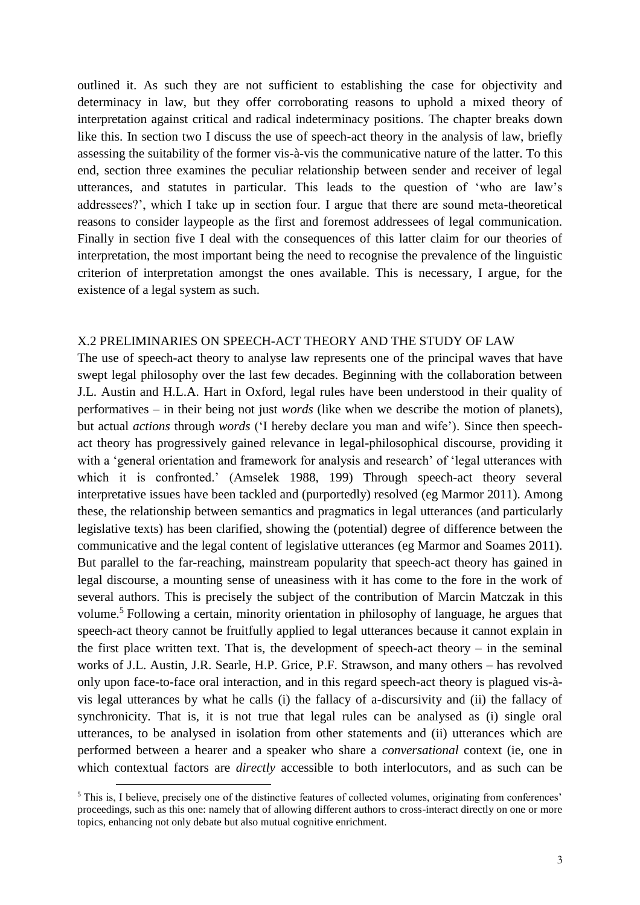outlined it. As such they are not sufficient to establishing the case for objectivity and determinacy in law, but they offer corroborating reasons to uphold a mixed theory of interpretation against critical and radical indeterminacy positions. The chapter breaks down like this. In section two I discuss the use of speech-act theory in the analysis of law, briefly assessing the suitability of the former vis-à-vis the communicative nature of the latter. To this end, section three examines the peculiar relationship between sender and receiver of legal utterances, and statutes in particular. This leads to the question of 'who are law's addressees?', which I take up in section four. I argue that there are sound meta-theoretical reasons to consider laypeople as the first and foremost addressees of legal communication. Finally in section five I deal with the consequences of this latter claim for our theories of interpretation, the most important being the need to recognise the prevalence of the linguistic criterion of interpretation amongst the ones available. This is necessary, I argue, for the existence of a legal system as such.

#### X.2 PRELIMINARIES ON SPEECH-ACT THEORY AND THE STUDY OF LAW

The use of speech-act theory to analyse law represents one of the principal waves that have swept legal philosophy over the last few decades. Beginning with the collaboration between J.L. Austin and H.L.A. Hart in Oxford, legal rules have been understood in their quality of performatives – in their being not just *words* (like when we describe the motion of planets), but actual *actions* through *words* ('I hereby declare you man and wife'). Since then speechact theory has progressively gained relevance in legal-philosophical discourse, providing it with a 'general orientation and framework for analysis and research' of 'legal utterances with which it is confronted.' (Amselek 1988, 199) Through speech-act theory several interpretative issues have been tackled and (purportedly) resolved (eg Marmor 2011). Among these, the relationship between semantics and pragmatics in legal utterances (and particularly legislative texts) has been clarified, showing the (potential) degree of difference between the communicative and the legal content of legislative utterances (eg Marmor and Soames 2011). But parallel to the far-reaching, mainstream popularity that speech-act theory has gained in legal discourse, a mounting sense of uneasiness with it has come to the fore in the work of several authors. This is precisely the subject of the contribution of Marcin Matczak in this volume.<sup>5</sup> Following a certain, minority orientation in philosophy of language, he argues that speech-act theory cannot be fruitfully applied to legal utterances because it cannot explain in the first place written text. That is, the development of speech-act theory  $-$  in the seminal works of J.L. Austin, J.R. Searle, H.P. Grice, P.F. Strawson, and many others – has revolved only upon face-to-face oral interaction, and in this regard speech-act theory is plagued vis-àvis legal utterances by what he calls (i) the fallacy of a-discursivity and (ii) the fallacy of synchronicity. That is, it is not true that legal rules can be analysed as (i) single oral utterances, to be analysed in isolation from other statements and (ii) utterances which are performed between a hearer and a speaker who share a *conversational* context (ie, one in which contextual factors are *directly* accessible to both interlocutors, and as such can be

<sup>&</sup>lt;sup>5</sup> This is, I believe, precisely one of the distinctive features of collected volumes, originating from conferences' proceedings, such as this one: namely that of allowing different authors to cross-interact directly on one or more topics, enhancing not only debate but also mutual cognitive enrichment.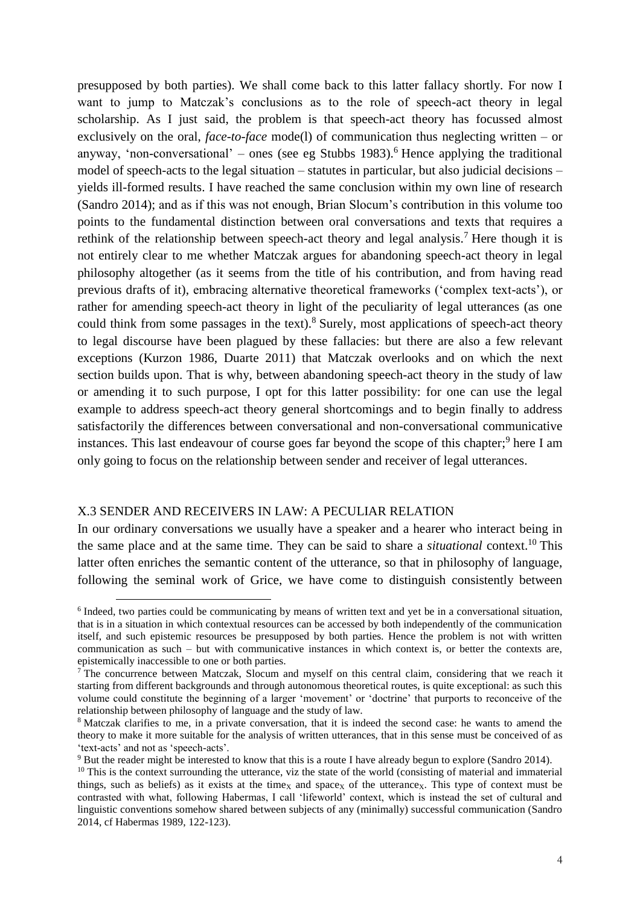presupposed by both parties). We shall come back to this latter fallacy shortly. For now I want to jump to Matczak's conclusions as to the role of speech-act theory in legal scholarship. As I just said, the problem is that speech-act theory has focussed almost exclusively on the oral, *face-to-face* mode(l) of communication thus neglecting written – or anyway, 'non-conversational' – ones (see eg Stubbs 1983). <sup>6</sup> Hence applying the traditional model of speech-acts to the legal situation – statutes in particular, but also judicial decisions – yields ill-formed results. I have reached the same conclusion within my own line of research (Sandro 2014); and as if this was not enough, Brian Slocum's contribution in this volume too points to the fundamental distinction between oral conversations and texts that requires a rethink of the relationship between speech-act theory and legal analysis.<sup>7</sup> Here though it is not entirely clear to me whether Matczak argues for abandoning speech-act theory in legal philosophy altogether (as it seems from the title of his contribution, and from having read previous drafts of it), embracing alternative theoretical frameworks ('complex text-acts'), or rather for amending speech-act theory in light of the peculiarity of legal utterances (as one could think from some passages in the text).<sup>8</sup> Surely, most applications of speech-act theory to legal discourse have been plagued by these fallacies: but there are also a few relevant exceptions (Kurzon 1986, Duarte 2011) that Matczak overlooks and on which the next section builds upon. That is why, between abandoning speech-act theory in the study of law or amending it to such purpose, I opt for this latter possibility: for one can use the legal example to address speech-act theory general shortcomings and to begin finally to address satisfactorily the differences between conversational and non-conversational communicative instances. This last endeavour of course goes far beyond the scope of this chapter;<sup>9</sup> here I am only going to focus on the relationship between sender and receiver of legal utterances.

### X.3 SENDER AND RECEIVERS IN LAW: A PECULIAR RELATION

 $\overline{a}$ 

In our ordinary conversations we usually have a speaker and a hearer who interact being in the same place and at the same time. They can be said to share a *situational* context.<sup>10</sup> This latter often enriches the semantic content of the utterance, so that in philosophy of language, following the seminal work of Grice, we have come to distinguish consistently between

<sup>&</sup>lt;sup>6</sup> Indeed, two parties could be communicating by means of written text and yet be in a conversational situation, that is in a situation in which contextual resources can be accessed by both independently of the communication itself, and such epistemic resources be presupposed by both parties. Hence the problem is not with written communication as such – but with communicative instances in which context is, or better the contexts are, epistemically inaccessible to one or both parties.

<sup>7</sup> The concurrence between Matczak, Slocum and myself on this central claim, considering that we reach it starting from different backgrounds and through autonomous theoretical routes, is quite exceptional: as such this volume could constitute the beginning of a larger 'movement' or 'doctrine' that purports to reconceive of the relationship between philosophy of language and the study of law.

<sup>&</sup>lt;sup>8</sup> Matczak clarifies to me, in a private conversation, that it is indeed the second case: he wants to amend the theory to make it more suitable for the analysis of written utterances, that in this sense must be conceived of as 'text-acts' and not as 'speech-acts'.

<sup>&</sup>lt;sup>9</sup> But the reader might be interested to know that this is a route I have already begun to explore (Sandro 2014).

<sup>&</sup>lt;sup>10</sup> This is the context surrounding the utterance, viz the state of the world (consisting of material and immaterial things, such as beliefs) as it exists at the time<sub>X</sub> and space<sub>X</sub> of the utterance<sub>X</sub>. This type of context must be contrasted with what, following Habermas, I call 'lifeworld' context, which is instead the set of cultural and linguistic conventions somehow shared between subjects of any (minimally) successful communication (Sandro 2014, cf Habermas 1989, 122-123).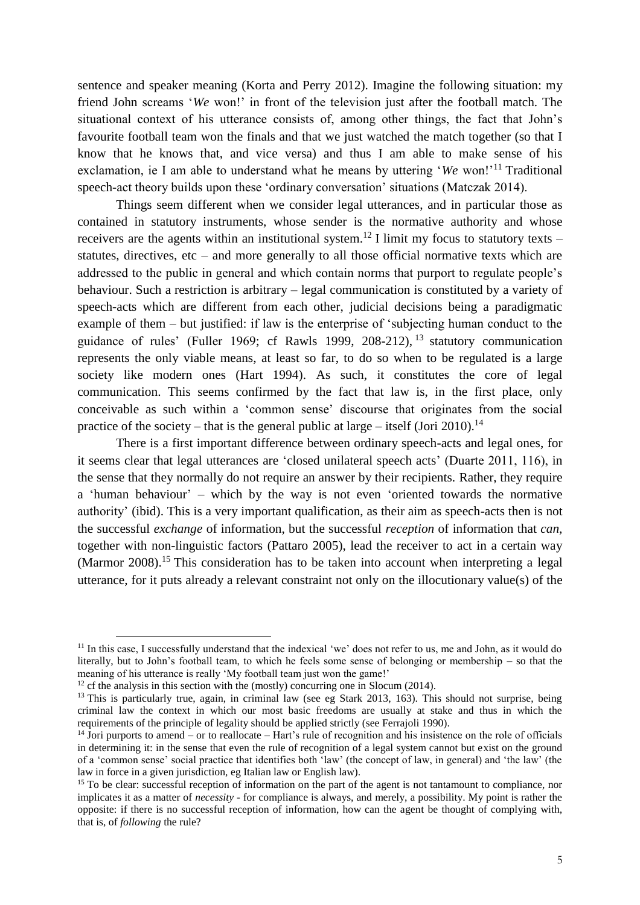sentence and speaker meaning (Korta and Perry 2012). Imagine the following situation: my friend John screams '*We* won!' in front of the television just after the football match. The situational context of his utterance consists of, among other things, the fact that John's favourite football team won the finals and that we just watched the match together (so that I know that he knows that, and vice versa) and thus I am able to make sense of his exclamation, ie I am able to understand what he means by uttering '*We* won!'<sup>11</sup> Traditional speech-act theory builds upon these 'ordinary conversation' situations (Matczak 2014).

Things seem different when we consider legal utterances, and in particular those as contained in statutory instruments, whose sender is the normative authority and whose receivers are the agents within an institutional system.<sup>12</sup> I limit my focus to statutory texts – statutes, directives, etc – and more generally to all those official normative texts which are addressed to the public in general and which contain norms that purport to regulate people's behaviour. Such a restriction is arbitrary – legal communication is constituted by a variety of speech-acts which are different from each other, judicial decisions being a paradigmatic example of them – but justified: if law is the enterprise of 'subjecting human conduct to the guidance of rules' (Fuller 1969; cf Rawls 1999, 208-212), <sup>13</sup> statutory communication represents the only viable means, at least so far, to do so when to be regulated is a large society like modern ones (Hart 1994). As such, it constitutes the core of legal communication. This seems confirmed by the fact that law is, in the first place, only conceivable as such within a 'common sense' discourse that originates from the social practice of the society – that is the general public at large – itself (Jori 2010).<sup>14</sup>

There is a first important difference between ordinary speech-acts and legal ones, for it seems clear that legal utterances are 'closed unilateral speech acts' (Duarte 2011, 116), in the sense that they normally do not require an answer by their recipients. Rather, they require a 'human behaviour' – which by the way is not even 'oriented towards the normative authority' (ibid). This is a very important qualification, as their aim as speech-acts then is not the successful *exchange* of information, but the successful *reception* of information that *can*, together with non-linguistic factors (Pattaro 2005), lead the receiver to act in a certain way (Marmor 2008).<sup>15</sup> This consideration has to be taken into account when interpreting a legal utterance, for it puts already a relevant constraint not only on the illocutionary value(s) of the

<sup>&</sup>lt;sup>11</sup> In this case, I successfully understand that the indexical 'we' does not refer to us, me and John, as it would do literally, but to John's football team, to which he feels some sense of belonging or membership – so that the meaning of his utterance is really 'My football team just won the game!'

 $12$  cf the analysis in this section with the (mostly) concurring one in Slocum (2014).

<sup>&</sup>lt;sup>13</sup> This is particularly true, again, in criminal law (see eg Stark 2013, 163). This should not surprise, being criminal law the context in which our most basic freedoms are usually at stake and thus in which the requirements of the principle of legality should be applied strictly (see Ferrajoli 1990).

 $14 \text{ J}$ ori purports to amend – or to reallocate – Hart's rule of recognition and his insistence on the role of officials in determining it: in the sense that even the rule of recognition of a legal system cannot but exist on the ground of a 'common sense' social practice that identifies both 'law' (the concept of law, in general) and 'the law' (the law in force in a given jurisdiction, eg Italian law or English law).

<sup>&</sup>lt;sup>15</sup> To be clear: successful reception of information on the part of the agent is not tantamount to compliance, nor implicates it as a matter of *necessity* - for compliance is always, and merely, a possibility. My point is rather the opposite: if there is no successful reception of information, how can the agent be thought of complying with, that is, of *following* the rule?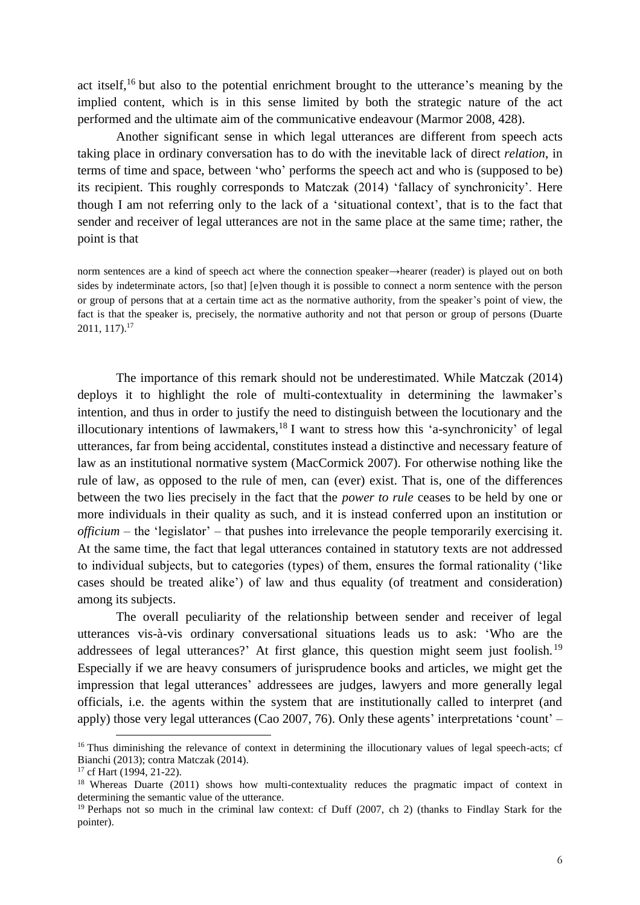act itself,<sup>16</sup> but also to the potential enrichment brought to the utterance's meaning by the implied content, which is in this sense limited by both the strategic nature of the act performed and the ultimate aim of the communicative endeavour (Marmor 2008, 428).

Another significant sense in which legal utterances are different from speech acts taking place in ordinary conversation has to do with the inevitable lack of direct *relation*, in terms of time and space, between 'who' performs the speech act and who is (supposed to be) its recipient. This roughly corresponds to Matczak (2014) 'fallacy of synchronicity'. Here though I am not referring only to the lack of a 'situational context', that is to the fact that sender and receiver of legal utterances are not in the same place at the same time; rather, the point is that

norm sentences are a kind of speech act where the connection speaker→hearer (reader) is played out on both sides by indeterminate actors, [so that] [e]ven though it is possible to connect a norm sentence with the person or group of persons that at a certain time act as the normative authority, from the speaker's point of view, the fact is that the speaker is, precisely, the normative authority and not that person or group of persons (Duarte 2011, 117). 17

The importance of this remark should not be underestimated. While Matczak (2014) deploys it to highlight the role of multi-contextuality in determining the lawmaker's intention, and thus in order to justify the need to distinguish between the locutionary and the illocutionary intentions of lawmakers,  $^{18}$  I want to stress how this 'a-synchronicity' of legal utterances, far from being accidental, constitutes instead a distinctive and necessary feature of law as an institutional normative system (MacCormick 2007). For otherwise nothing like the rule of law, as opposed to the rule of men, can (ever) exist. That is, one of the differences between the two lies precisely in the fact that the *power to rule* ceases to be held by one or more individuals in their quality as such, and it is instead conferred upon an institution or *officium* – the 'legislator' – that pushes into irrelevance the people temporarily exercising it. At the same time, the fact that legal utterances contained in statutory texts are not addressed to individual subjects, but to categories (types) of them, ensures the formal rationality ('like cases should be treated alike') of law and thus equality (of treatment and consideration) among its subjects.

The overall peculiarity of the relationship between sender and receiver of legal utterances vis-à-vis ordinary conversational situations leads us to ask: 'Who are the addressees of legal utterances?' At first glance, this question might seem just foolish.<sup>19</sup> Especially if we are heavy consumers of jurisprudence books and articles, we might get the impression that legal utterances' addressees are judges, lawyers and more generally legal officials, i.e. the agents within the system that are institutionally called to interpret (and apply) those very legal utterances (Cao 2007, 76). Only these agents' interpretations 'count' –

<sup>&</sup>lt;sup>16</sup> Thus diminishing the relevance of context in determining the illocutionary values of legal speech-acts; cf Bianchi (2013); contra Matczak (2014).

<sup>&</sup>lt;sup>17</sup> cf Hart (1994, 21-22).

<sup>&</sup>lt;sup>18</sup> Whereas Duarte (2011) shows how multi-contextuality reduces the pragmatic impact of context in determining the semantic value of the utterance.

<sup>&</sup>lt;sup>19</sup> Perhaps not so much in the criminal law context: cf Duff (2007, ch 2) (thanks to Findlay Stark for the pointer).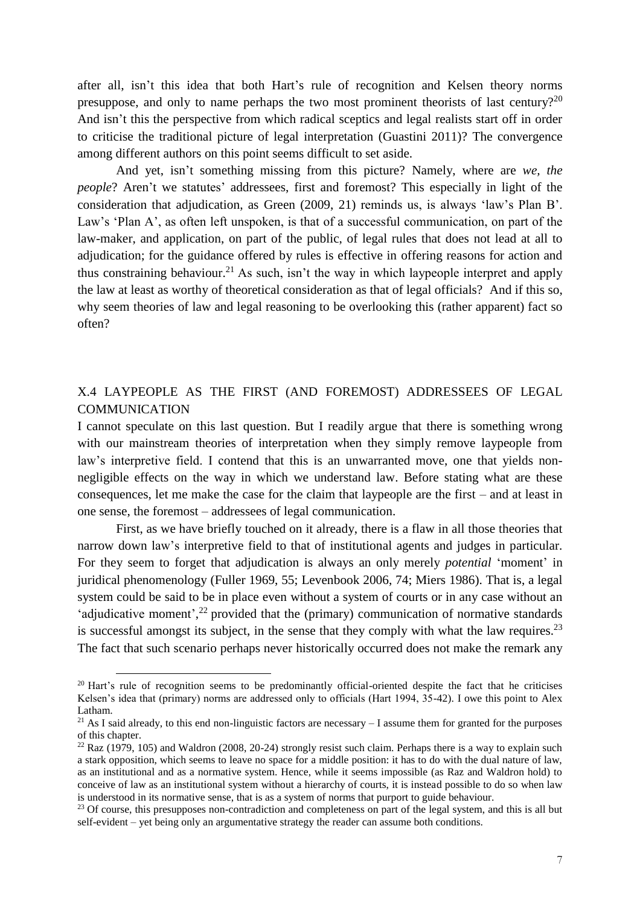after all, isn't this idea that both Hart's rule of recognition and Kelsen theory norms presuppose, and only to name perhaps the two most prominent theorists of last century?<sup>20</sup> And isn't this the perspective from which radical sceptics and legal realists start off in order to criticise the traditional picture of legal interpretation (Guastini 2011)? The convergence among different authors on this point seems difficult to set aside.

And yet, isn't something missing from this picture? Namely, where are *we, the people*? Aren't we statutes' addressees, first and foremost? This especially in light of the consideration that adjudication, as Green (2009, 21) reminds us, is always 'law's Plan B'. Law's 'Plan A', as often left unspoken, is that of a successful communication, on part of the law-maker, and application, on part of the public, of legal rules that does not lead at all to adjudication; for the guidance offered by rules is effective in offering reasons for action and thus constraining behaviour.<sup>21</sup> As such, isn't the way in which laypeople interpret and apply the law at least as worthy of theoretical consideration as that of legal officials? And if this so, why seem theories of law and legal reasoning to be overlooking this (rather apparent) fact so often?

## X.4 LAYPEOPLE AS THE FIRST (AND FOREMOST) ADDRESSEES OF LEGAL **COMMUNICATION**

I cannot speculate on this last question. But I readily argue that there is something wrong with our mainstream theories of interpretation when they simply remove laypeople from law's interpretive field. I contend that this is an unwarranted move, one that yields nonnegligible effects on the way in which we understand law. Before stating what are these consequences, let me make the case for the claim that laypeople are the first – and at least in one sense, the foremost – addressees of legal communication.

First, as we have briefly touched on it already, there is a flaw in all those theories that narrow down law's interpretive field to that of institutional agents and judges in particular. For they seem to forget that adjudication is always an only merely *potential* 'moment' in juridical phenomenology (Fuller 1969, 55; Levenbook 2006, 74; Miers 1986). That is, a legal system could be said to be in place even without a system of courts or in any case without an 'adjudicative moment',<sup>22</sup> provided that the (primary) communication of normative standards is successful amongst its subject, in the sense that they comply with what the law requires. $2<sup>3</sup>$ The fact that such scenario perhaps never historically occurred does not make the remark any

<sup>&</sup>lt;sup>20</sup> Hart's rule of recognition seems to be predominantly official-oriented despite the fact that he criticises Kelsen's idea that (primary) norms are addressed only to officials (Hart 1994, 35-42). I owe this point to Alex Latham.

<sup>&</sup>lt;sup>21</sup> As I said already, to this end non-linguistic factors are necessary  $-$  I assume them for granted for the purposes of this chapter.

 $^{22}$  Raz (1979, 105) and Waldron (2008, 20-24) strongly resist such claim. Perhaps there is a way to explain such a stark opposition, which seems to leave no space for a middle position: it has to do with the dual nature of law, as an institutional and as a normative system. Hence, while it seems impossible (as Raz and Waldron hold) to conceive of law as an institutional system without a hierarchy of courts, it is instead possible to do so when law is understood in its normative sense, that is as a system of norms that purport to guide behaviour.

<sup>&</sup>lt;sup>23</sup> Of course, this presupposes non-contradiction and completeness on part of the legal system, and this is all but self-evident – yet being only an argumentative strategy the reader can assume both conditions.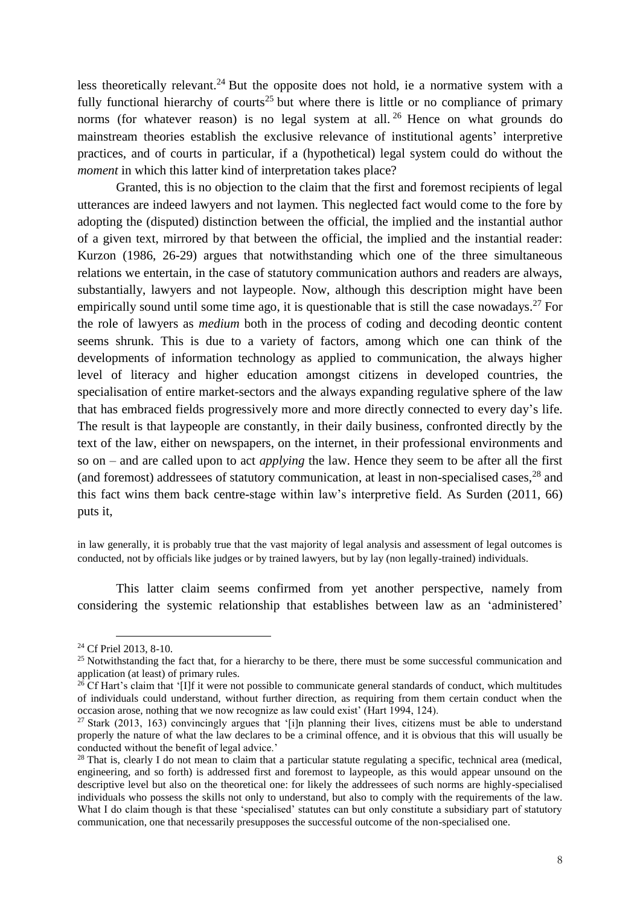less theoretically relevant.<sup>24</sup> But the opposite does not hold, ie a normative system with a fully functional hierarchy of courts<sup>25</sup> but where there is little or no compliance of primary norms (for whatever reason) is no legal system at all.<sup>26</sup> Hence on what grounds do mainstream theories establish the exclusive relevance of institutional agents' interpretive practices, and of courts in particular, if a (hypothetical) legal system could do without the *moment* in which this latter kind of interpretation takes place?

Granted, this is no objection to the claim that the first and foremost recipients of legal utterances are indeed lawyers and not laymen. This neglected fact would come to the fore by adopting the (disputed) distinction between the official, the implied and the instantial author of a given text, mirrored by that between the official, the implied and the instantial reader: Kurzon (1986, 26-29) argues that notwithstanding which one of the three simultaneous relations we entertain, in the case of statutory communication authors and readers are always, substantially, lawyers and not laypeople. Now, although this description might have been empirically sound until some time ago, it is questionable that is still the case nowadays.<sup>27</sup> For the role of lawyers as *medium* both in the process of coding and decoding deontic content seems shrunk. This is due to a variety of factors, among which one can think of the developments of information technology as applied to communication, the always higher level of literacy and higher education amongst citizens in developed countries, the specialisation of entire market-sectors and the always expanding regulative sphere of the law that has embraced fields progressively more and more directly connected to every day's life. The result is that laypeople are constantly, in their daily business, confronted directly by the text of the law, either on newspapers, on the internet, in their professional environments and so on – and are called upon to act *applying* the law. Hence they seem to be after all the first (and foremost) addressees of statutory communication, at least in non-specialised cases,<sup>28</sup> and this fact wins them back centre-stage within law's interpretive field. As Surden (2011, 66) puts it,

in law generally, it is probably true that the vast majority of legal analysis and assessment of legal outcomes is conducted, not by officials like judges or by trained lawyers, but by lay (non legally-trained) individuals.

This latter claim seems confirmed from yet another perspective, namely from considering the systemic relationship that establishes between law as an 'administered'

<sup>1</sup> <sup>24</sup> Cf Priel 2013, 8-10.

<sup>&</sup>lt;sup>25</sup> Notwithstanding the fact that, for a hierarchy to be there, there must be some successful communication and application (at least) of primary rules.

<sup>&</sup>lt;sup>26</sup> Cf Hart's claim that '[I]f it were not possible to communicate general standards of conduct, which multitudes of individuals could understand, without further direction, as requiring from them certain conduct when the occasion arose, nothing that we now recognize as law could exist' (Hart 1994, 124).

<sup>&</sup>lt;sup>27</sup> Stark (2013, 163) convincingly argues that '[i]n planning their lives, citizens must be able to understand properly the nature of what the law declares to be a criminal offence, and it is obvious that this will usually be conducted without the benefit of legal advice.'

<sup>&</sup>lt;sup>28</sup> That is, clearly I do not mean to claim that a particular statute regulating a specific, technical area (medical, engineering, and so forth) is addressed first and foremost to laypeople, as this would appear unsound on the descriptive level but also on the theoretical one: for likely the addressees of such norms are highly-specialised individuals who possess the skills not only to understand, but also to comply with the requirements of the law. What I do claim though is that these 'specialised' statutes can but only constitute a subsidiary part of statutory communication, one that necessarily presupposes the successful outcome of the non-specialised one.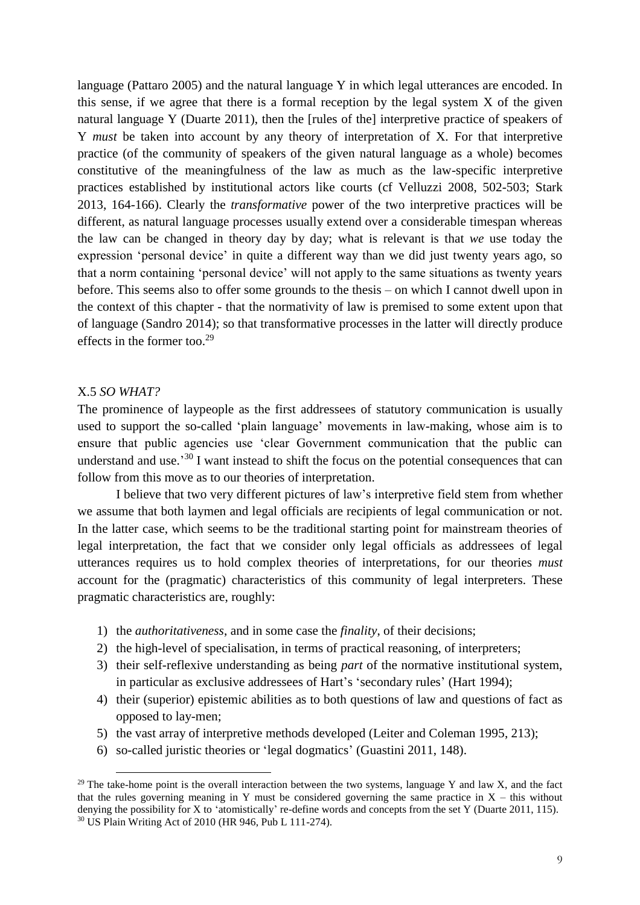language (Pattaro 2005) and the natural language Y in which legal utterances are encoded. In this sense, if we agree that there is a formal reception by the legal system X of the given natural language Y (Duarte 2011), then the [rules of the] interpretive practice of speakers of Y *must* be taken into account by any theory of interpretation of X. For that interpretive practice (of the community of speakers of the given natural language as a whole) becomes constitutive of the meaningfulness of the law as much as the law-specific interpretive practices established by institutional actors like courts (cf Velluzzi 2008, 502-503; Stark 2013, 164-166). Clearly the *transformative* power of the two interpretive practices will be different, as natural language processes usually extend over a considerable timespan whereas the law can be changed in theory day by day; what is relevant is that *we* use today the expression 'personal device' in quite a different way than we did just twenty years ago, so that a norm containing 'personal device' will not apply to the same situations as twenty years before. This seems also to offer some grounds to the thesis – on which I cannot dwell upon in the context of this chapter - that the normativity of law is premised to some extent upon that of language (Sandro 2014); so that transformative processes in the latter will directly produce effects in the former too.<sup>29</sup>

#### X.5 *SO WHAT?*

 $\overline{a}$ 

The prominence of laypeople as the first addressees of statutory communication is usually used to support the so-called 'plain language' movements in law-making, whose aim is to ensure that public agencies use 'clear Government communication that the public can understand and use.<sup>30</sup> I want instead to shift the focus on the potential consequences that can follow from this move as to our theories of interpretation.

I believe that two very different pictures of law's interpretive field stem from whether we assume that both laymen and legal officials are recipients of legal communication or not. In the latter case, which seems to be the traditional starting point for mainstream theories of legal interpretation, the fact that we consider only legal officials as addressees of legal utterances requires us to hold complex theories of interpretations, for our theories *must* account for the (pragmatic) characteristics of this community of legal interpreters. These pragmatic characteristics are, roughly:

- 1) the *authoritativeness*, and in some case the *finality*, of their decisions;
- 2) the high-level of specialisation, in terms of practical reasoning, of interpreters;
- 3) their self-reflexive understanding as being *part* of the normative institutional system, in particular as exclusive addressees of Hart's 'secondary rules' (Hart 1994);
- 4) their (superior) epistemic abilities as to both questions of law and questions of fact as opposed to lay-men;
- 5) the vast array of interpretive methods developed (Leiter and Coleman 1995, 213);
- 6) so-called juristic theories or 'legal dogmatics' (Guastini 2011, 148).

<sup>&</sup>lt;sup>29</sup> The take-home point is the overall interaction between the two systems, language Y and law X, and the fact that the rules governing meaning in Y must be considered governing the same practice in  $X -$  this without denying the possibility for X to 'atomistically' re-define words and concepts from the set Y (Duarte 2011, 115). <sup>30</sup> US Plain Writing Act of 2010 (HR 946, Pub L 111-274).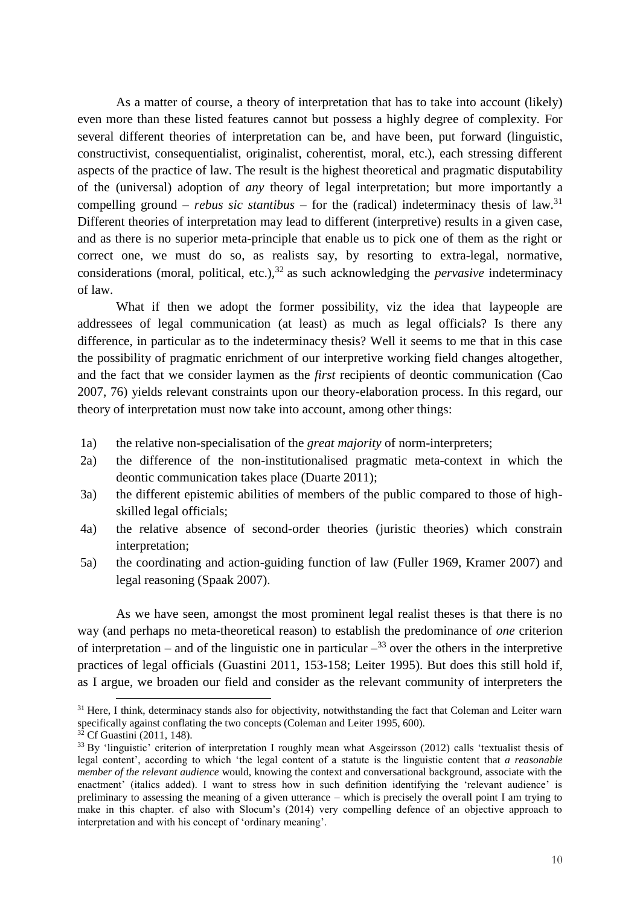As a matter of course, a theory of interpretation that has to take into account (likely) even more than these listed features cannot but possess a highly degree of complexity. For several different theories of interpretation can be, and have been, put forward (linguistic, constructivist, consequentialist, originalist, coherentist, moral, etc.), each stressing different aspects of the practice of law. The result is the highest theoretical and pragmatic disputability of the (universal) adoption of *any* theory of legal interpretation; but more importantly a compelling ground – *rebus sic stantibus* – for the (radical) indeterminacy thesis of law.<sup>31</sup> Different theories of interpretation may lead to different (interpretive) results in a given case, and as there is no superior meta-principle that enable us to pick one of them as the right or correct one, we must do so, as realists say, by resorting to extra-legal, normative, considerations (moral, political, etc.), <sup>32</sup> as such acknowledging the *pervasive* indeterminacy of law.

What if then we adopt the former possibility, viz the idea that laypeople are addressees of legal communication (at least) as much as legal officials? Is there any difference, in particular as to the indeterminacy thesis? Well it seems to me that in this case the possibility of pragmatic enrichment of our interpretive working field changes altogether, and the fact that we consider laymen as the *first* recipients of deontic communication (Cao 2007, 76) yields relevant constraints upon our theory-elaboration process. In this regard, our theory of interpretation must now take into account, among other things:

- 1a) the relative non-specialisation of the *great majority* of norm-interpreters;
- 2a) the difference of the non-institutionalised pragmatic meta-context in which the deontic communication takes place (Duarte 2011);
- 3a) the different epistemic abilities of members of the public compared to those of highskilled legal officials;
- 4a) the relative absence of second-order theories (juristic theories) which constrain interpretation;
- 5a) the coordinating and action-guiding function of law (Fuller 1969, Kramer 2007) and legal reasoning (Spaak 2007).

As we have seen, amongst the most prominent legal realist theses is that there is no way (and perhaps no meta-theoretical reason) to establish the predominance of *one* criterion of interpretation – and of the linguistic one in particular  $-$ <sup>33</sup> over the others in the interpretive practices of legal officials (Guastini 2011, 153-158; Leiter 1995). But does this still hold if, as I argue, we broaden our field and consider as the relevant community of interpreters the

<sup>&</sup>lt;sup>31</sup> Here, I think, determinacy stands also for objectivity, notwithstanding the fact that Coleman and Leiter warn specifically against conflating the two concepts (Coleman and Leiter 1995, 600).

 $3^{2}$  Cf Guastini (2011, 148).

<sup>&</sup>lt;sup>33</sup> By 'linguistic' criterion of interpretation I roughly mean what Asgeirsson (2012) calls 'textualist thesis of legal content', according to which 'the legal content of a statute is the linguistic content that *a reasonable member of the relevant audience* would, knowing the context and conversational background, associate with the enactment' (italics added). I want to stress how in such definition identifying the 'relevant audience' is preliminary to assessing the meaning of a given utterance – which is precisely the overall point I am trying to make in this chapter. cf also with Slocum's (2014) very compelling defence of an objective approach to interpretation and with his concept of 'ordinary meaning'.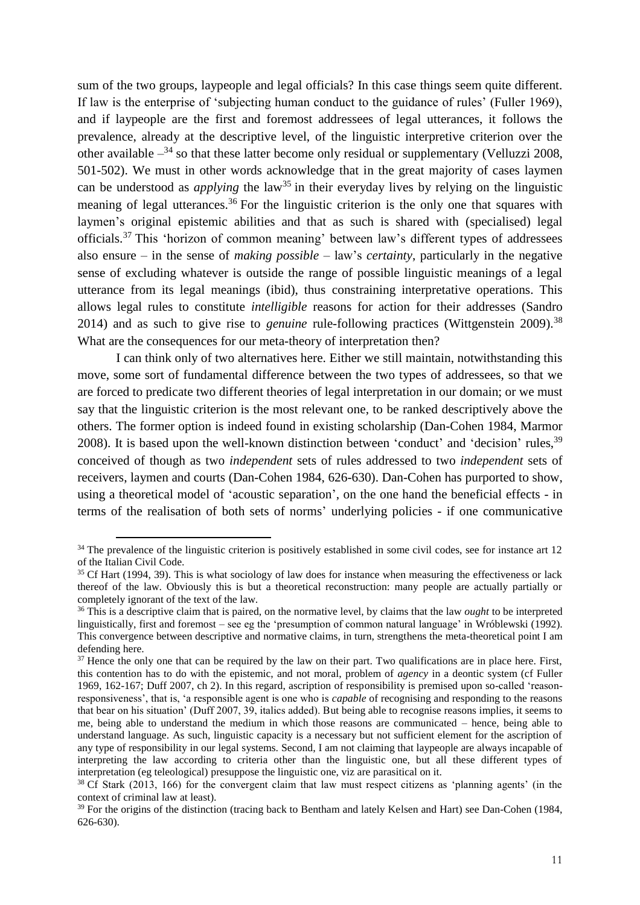sum of the two groups, laypeople and legal officials? In this case things seem quite different. If law is the enterprise of 'subjecting human conduct to the guidance of rules' (Fuller 1969), and if laypeople are the first and foremost addressees of legal utterances, it follows the prevalence, already at the descriptive level, of the linguistic interpretive criterion over the other available  $-34$  so that these latter become only residual or supplementary (Velluzzi 2008, 501-502). We must in other words acknowledge that in the great majority of cases laymen can be understood as *applying* the law<sup>35</sup> in their everyday lives by relying on the linguistic meaning of legal utterances.<sup>36</sup> For the linguistic criterion is the only one that squares with laymen's original epistemic abilities and that as such is shared with (specialised) legal officials.<sup>37</sup> This 'horizon of common meaning' between law's different types of addressees also ensure – in the sense of *making possible* – law's *certainty*, particularly in the negative sense of excluding whatever is outside the range of possible linguistic meanings of a legal utterance from its legal meanings (ibid), thus constraining interpretative operations. This allows legal rules to constitute *intelligible* reasons for action for their addresses (Sandro 2014) and as such to give rise to *genuine* rule-following practices (Wittgenstein 2009).<sup>38</sup> What are the consequences for our meta-theory of interpretation then?

I can think only of two alternatives here. Either we still maintain, notwithstanding this move, some sort of fundamental difference between the two types of addressees, so that we are forced to predicate two different theories of legal interpretation in our domain; or we must say that the linguistic criterion is the most relevant one, to be ranked descriptively above the others. The former option is indeed found in existing scholarship (Dan-Cohen 1984, Marmor 2008). It is based upon the well-known distinction between 'conduct' and 'decision' rules,<sup>39</sup> conceived of though as two *independent* sets of rules addressed to two *independent* sets of receivers, laymen and courts (Dan-Cohen 1984, 626-630). Dan-Cohen has purported to show, using a theoretical model of 'acoustic separation', on the one hand the beneficial effects - in terms of the realisation of both sets of norms' underlying policies - if one communicative

<sup>&</sup>lt;sup>34</sup> The prevalence of the linguistic criterion is positively established in some civil codes, see for instance art 12 of the Italian Civil Code.

<sup>&</sup>lt;sup>35</sup> Cf Hart (1994, 39). This is what sociology of law does for instance when measuring the effectiveness or lack thereof of the law. Obviously this is but a theoretical reconstruction: many people are actually partially or completely ignorant of the text of the law.

<sup>36</sup> This is a descriptive claim that is paired, on the normative level, by claims that the law *ought* to be interpreted linguistically, first and foremost – see eg the 'presumption of common natural language' in Wróblewski (1992). This convergence between descriptive and normative claims, in turn, strengthens the meta-theoretical point I am defending here.

 $37$  Hence the only one that can be required by the law on their part. Two qualifications are in place here. First, this contention has to do with the epistemic, and not moral, problem of *agency* in a deontic system (cf Fuller 1969, 162-167; Duff 2007, ch 2). In this regard, ascription of responsibility is premised upon so-called 'reasonresponsiveness', that is, 'a responsible agent is one who is *capable* of recognising and responding to the reasons that bear on his situation' (Duff 2007, 39, italics added). But being able to recognise reasons implies, it seems to me, being able to understand the medium in which those reasons are communicated – hence, being able to understand language. As such, linguistic capacity is a necessary but not sufficient element for the ascription of any type of responsibility in our legal systems. Second, I am not claiming that laypeople are always incapable of interpreting the law according to criteria other than the linguistic one, but all these different types of interpretation (eg teleological) presuppose the linguistic one, viz are parasitical on it.

<sup>38</sup> Cf Stark (2013, 166) for the convergent claim that law must respect citizens as 'planning agents' (in the context of criminal law at least).

<sup>&</sup>lt;sup>39</sup> For the origins of the distinction (tracing back to Bentham and lately Kelsen and Hart) see Dan-Cohen (1984, 626-630).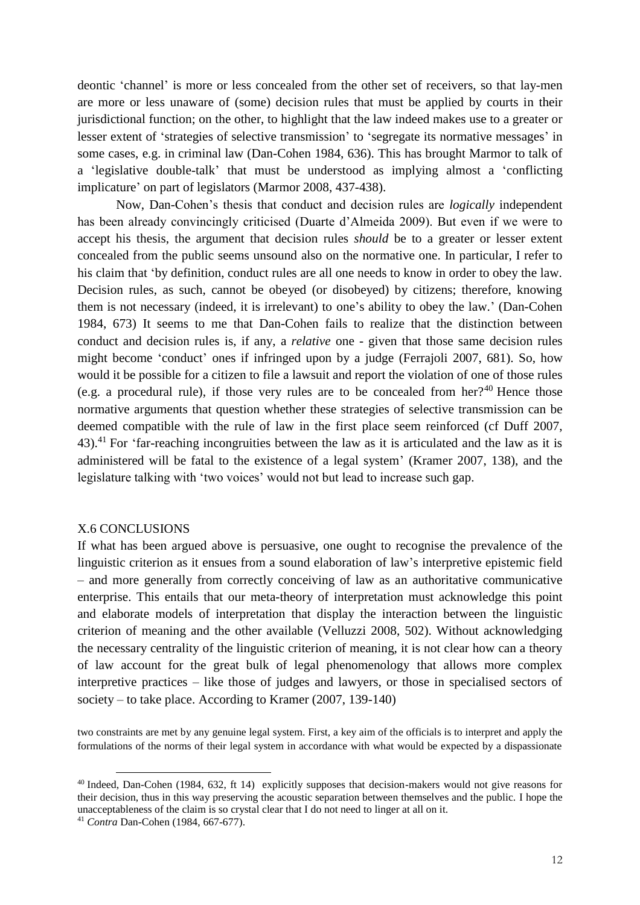deontic 'channel' is more or less concealed from the other set of receivers, so that lay-men are more or less unaware of (some) decision rules that must be applied by courts in their jurisdictional function; on the other, to highlight that the law indeed makes use to a greater or lesser extent of 'strategies of selective transmission' to 'segregate its normative messages' in some cases, e.g. in criminal law (Dan-Cohen 1984, 636). This has brought Marmor to talk of a 'legislative double-talk' that must be understood as implying almost a 'conflicting implicature' on part of legislators (Marmor 2008, 437-438).

Now, Dan-Cohen's thesis that conduct and decision rules are *logically* independent has been already convincingly criticised (Duarte d'Almeida 2009). But even if we were to accept his thesis, the argument that decision rules *should* be to a greater or lesser extent concealed from the public seems unsound also on the normative one. In particular, I refer to his claim that 'by definition, conduct rules are all one needs to know in order to obey the law. Decision rules, as such, cannot be obeyed (or disobeyed) by citizens; therefore, knowing them is not necessary (indeed, it is irrelevant) to one's ability to obey the law.' (Dan-Cohen 1984, 673) It seems to me that Dan-Cohen fails to realize that the distinction between conduct and decision rules is, if any, a *relative* one - given that those same decision rules might become 'conduct' ones if infringed upon by a judge (Ferrajoli 2007, 681). So, how would it be possible for a citizen to file a lawsuit and report the violation of one of those rules (e.g. a procedural rule), if those very rules are to be concealed from  $her$ <sup>40</sup> Hence those normative arguments that question whether these strategies of selective transmission can be deemed compatible with the rule of law in the first place seem reinforced (cf Duff 2007, 43).<sup>41</sup> For 'far-reaching incongruities between the law as it is articulated and the law as it is administered will be fatal to the existence of a legal system' (Kramer 2007, 138), and the legislature talking with 'two voices' would not but lead to increase such gap.

#### X.6 CONCLUSIONS

If what has been argued above is persuasive, one ought to recognise the prevalence of the linguistic criterion as it ensues from a sound elaboration of law's interpretive epistemic field – and more generally from correctly conceiving of law as an authoritative communicative enterprise. This entails that our meta-theory of interpretation must acknowledge this point and elaborate models of interpretation that display the interaction between the linguistic criterion of meaning and the other available (Velluzzi 2008, 502). Without acknowledging the necessary centrality of the linguistic criterion of meaning, it is not clear how can a theory of law account for the great bulk of legal phenomenology that allows more complex interpretive practices – like those of judges and lawyers, or those in specialised sectors of society – to take place. According to Kramer (2007, 139-140)

two constraints are met by any genuine legal system. First, a key aim of the officials is to interpret and apply the formulations of the norms of their legal system in accordance with what would be expected by a dispassionate

<sup>&</sup>lt;sup>40</sup> Indeed, Dan-Cohen (1984, 632, ft 14) explicitly supposes that decision-makers would not give reasons for their decision, thus in this way preserving the acoustic separation between themselves and the public. I hope the unacceptableness of the claim is so crystal clear that I do not need to linger at all on it.

<sup>41</sup> *Contra* Dan-Cohen (1984, 667-677).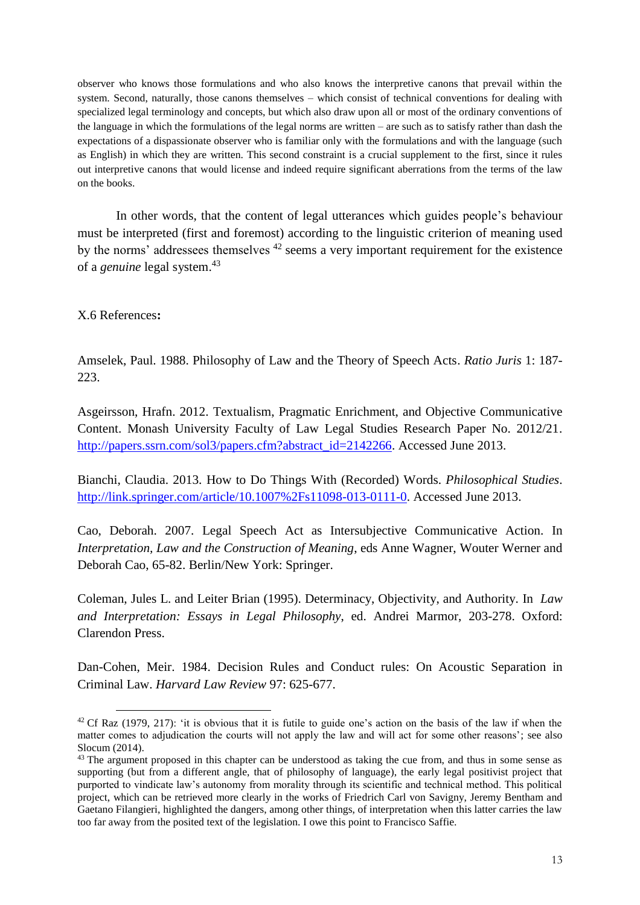observer who knows those formulations and who also knows the interpretive canons that prevail within the system. Second, naturally, those canons themselves – which consist of technical conventions for dealing with specialized legal terminology and concepts, but which also draw upon all or most of the ordinary conventions of the language in which the formulations of the legal norms are written – are such as to satisfy rather than dash the expectations of a dispassionate observer who is familiar only with the formulations and with the language (such as English) in which they are written. This second constraint is a crucial supplement to the first, since it rules out interpretive canons that would license and indeed require significant aberrations from the terms of the law on the books.

In other words, that the content of legal utterances which guides people's behaviour must be interpreted (first and foremost) according to the linguistic criterion of meaning used by the norms' addressees themselves <sup>42</sup> seems a very important requirement for the existence of a *genuine* legal system. 43

X.6 References**:**

1

Amselek, Paul. 1988. Philosophy of Law and the Theory of Speech Acts. *Ratio Juris* 1: 187- 223.

Asgeirsson, Hrafn. 2012. Textualism, Pragmatic Enrichment, and Objective Communicative Content. Monash University Faculty of Law Legal Studies Research Paper No. 2012/21. [http://papers.ssrn.com/sol3/papers.cfm?abstract\\_id=2142266.](http://papers.ssrn.com/sol3/papers.cfm?abstract_id=2142266) Accessed June 2013.

Bianchi, Claudia. 2013. How to Do Things With (Recorded) Words. *Philosophical Studies*. [http://link.springer.com/article/10.1007%2Fs11098-013-0111-0.](http://link.springer.com/article/10.1007%2Fs11098-013-0111-0) Accessed June 2013.

Cao, Deborah. 2007. Legal Speech Act as Intersubjective Communicative Action. In *Interpretation, Law and the Construction of Meaning*, eds Anne Wagner, Wouter Werner and Deborah Cao, 65-82. Berlin/New York: Springer.

Coleman, Jules L. and Leiter Brian (1995). Determinacy, Objectivity, and Authority. In *Law and Interpretation: Essays in Legal Philosophy*, ed. Andrei Marmor, 203-278. Oxford: Clarendon Press.

Dan-Cohen, Meir. 1984. Decision Rules and Conduct rules: On Acoustic Separation in Criminal Law. *Harvard Law Review* 97: 625-677.

 $42$  Cf Raz (1979, 217): 'it is obvious that it is futile to guide one's action on the basis of the law if when the matter comes to adjudication the courts will not apply the law and will act for some other reasons'; see also Slocum (2014).

<sup>&</sup>lt;sup>43</sup> The argument proposed in this chapter can be understood as taking the cue from, and thus in some sense as supporting (but from a different angle, that of philosophy of language), the early legal positivist project that purported to vindicate law's autonomy from morality through its scientific and technical method. This political project, which can be retrieved more clearly in the works of Friedrich Carl von Savigny, Jeremy Bentham and Gaetano Filangieri, highlighted the dangers, among other things, of interpretation when this latter carries the law too far away from the posited text of the legislation. I owe this point to Francisco Saffie.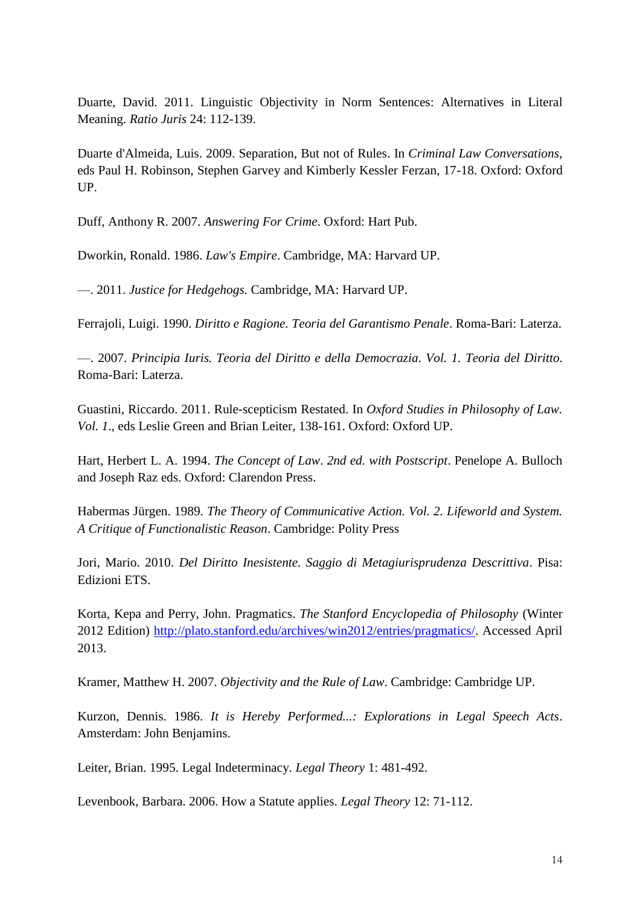Duarte, David. 2011. Linguistic Objectivity in Norm Sentences: Alternatives in Literal Meaning. *Ratio Juris* 24: 112-139.

Duarte d'Almeida, Luis. 2009. Separation, But not of Rules. In *Criminal Law Conversations*, eds Paul H. Robinson, Stephen Garvey and Kimberly Kessler Ferzan, 17-18. Oxford: Oxford UP.

Duff, Anthony R. 2007. *Answering For Crime*. Oxford: Hart Pub.

Dworkin, Ronald. 1986. *Law's Empire*. Cambridge, MA: Harvard UP.

––. 2011. *Justice for Hedgehogs.* Cambridge, MA: Harvard UP.

Ferrajoli, Luigi. 1990. *Diritto e Ragione. Teoria del Garantismo Penale*. Roma-Bari: Laterza.

––. 2007. *Principia Iuris. Teoria del Diritto e della Democrazia*. *Vol. 1. Teoria del Diritto*. Roma-Bari: Laterza.

Guastini, Riccardo. 2011. Rule-scepticism Restated. In *Oxford Studies in Philosophy of Law. Vol. 1*., eds Leslie Green and Brian Leiter, 138-161. Oxford: Oxford UP.

Hart, Herbert L. A. 1994. *The Concept of Law*. *2nd ed. with Postscript*. Penelope A. Bulloch and Joseph Raz eds. Oxford: Clarendon Press.

Habermas Jürgen. 1989. *The Theory of Communicative Action. Vol. 2. Lifeworld and System. A Critique of Functionalistic Reason*. Cambridge: Polity Press

Jori, Mario. 2010. *Del Diritto Inesistente. Saggio di Metagiurisprudenza Descrittiva*. Pisa: Edizioni ETS.

Korta, Kepa and Perry, John. Pragmatics. *The Stanford Encyclopedia of Philosophy* (Winter 2012 Edition) [http://plato.stanford.edu/archives/win2012/entries/pragmatics/.](http://plato.stanford.edu/archives/win2012/entries/pragmatics/) Accessed April 2013.

Kramer, Matthew H. 2007. *Objectivity and the Rule of Law*. Cambridge: Cambridge UP.

Kurzon, Dennis. 1986. *It is Hereby Performed...: Explorations in Legal Speech Acts*. Amsterdam: John Benjamins.

Leiter, Brian. 1995. Legal Indeterminacy. *Legal Theory* 1: 481-492.

Levenbook, Barbara. 2006. How a Statute applies. *Legal Theory* 12: 71-112.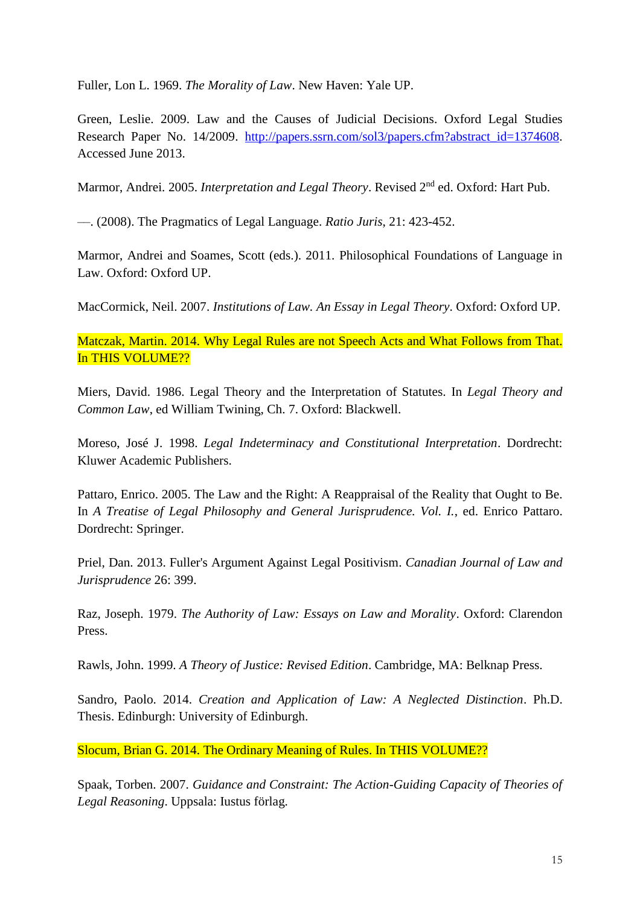Fuller, Lon L. 1969. *The Morality of Law*. New Haven: Yale UP.

Green, Leslie. 2009. Law and the Causes of Judicial Decisions. Oxford Legal Studies Research Paper No. 14/2009. [http://papers.ssrn.com/sol3/papers.cfm?abstract\\_id=1374608.](http://papers.ssrn.com/sol3/papers.cfm?abstract_id=1374608) Accessed June 2013.

Marmor, Andrei. 2005. *Interpretation and Legal Theory*. Revised 2<sup>nd</sup> ed. Oxford: Hart Pub.

––. (2008). The Pragmatics of Legal Language. *Ratio Juris*, 21: 423-452.

Marmor, Andrei and Soames, Scott (eds.). 2011. Philosophical Foundations of Language in Law. Oxford: Oxford UP.

MacCormick, Neil. 2007. *Institutions of Law. An Essay in Legal Theory*. Oxford: Oxford UP.

Matczak, Martin. 2014. Why Legal Rules are not Speech Acts and What Follows from That. In THIS VOLUME??

Miers, David. 1986. Legal Theory and the Interpretation of Statutes. In *Legal Theory and Common Law*, ed William Twining, Ch. 7. Oxford: Blackwell.

Moreso, José J. 1998. *Legal Indeterminacy and Constitutional Interpretation*. Dordrecht: Kluwer Academic Publishers.

Pattaro, Enrico. 2005. The Law and the Right: A Reappraisal of the Reality that Ought to Be. In *A Treatise of Legal Philosophy and General Jurisprudence. Vol. I.*, ed. Enrico Pattaro. Dordrecht: Springer.

Priel, Dan. 2013. Fuller's Argument Against Legal Positivism. *Canadian Journal of Law and Jurisprudence* 26: 399.

Raz, Joseph. 1979. *The Authority of Law: Essays on Law and Morality*. Oxford: Clarendon Press.

Rawls, John. 1999. *A Theory of Justice: Revised Edition*. Cambridge, MA: Belknap Press.

Sandro, Paolo. 2014. *Creation and Application of Law: A Neglected Distinction*. Ph.D. Thesis. Edinburgh: University of Edinburgh.

Slocum, Brian G. 2014. The Ordinary Meaning of Rules. In THIS VOLUME??

Spaak, Torben. 2007. *Guidance and Constraint: The Action-Guiding Capacity of Theories of Legal Reasoning*. Uppsala: Iustus förlag.